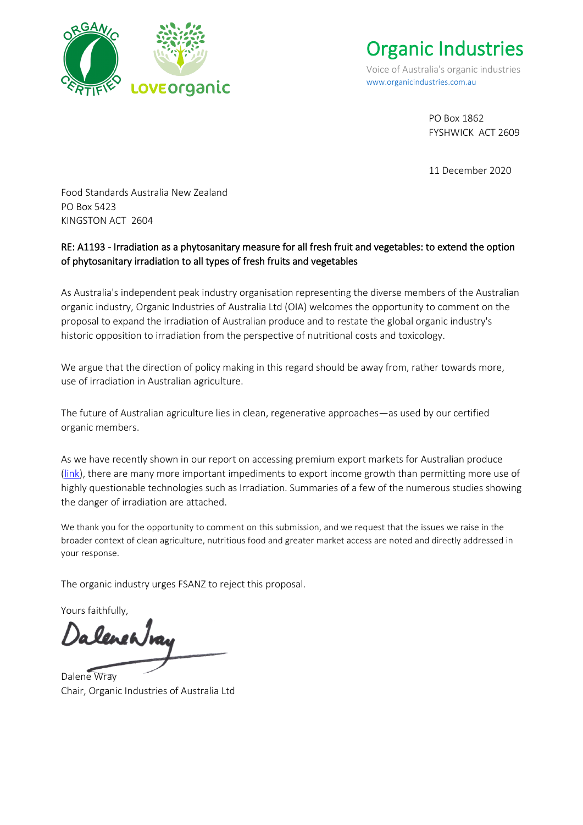

[Organic Industries](https://organicindustries.com.au/)

Voice of Australia's organic industries [www.organicindustries.com.au](http://www.organicindustries.com.au/)

> PO Box 1862 FYSHWICK ACT 2609

11 December 2020

Food Standards Australia New Zealand PO Box 5423 KINGSTON ACT 2604

## RE: A1193 - Irradiation as a phytosanitary measure for all fresh fruit and vegetables: to extend the option of phytosanitary irradiation to all types of fresh fruits and vegetables

As Australia's independent peak industry organisation representing the diverse members of the Australian organic industry, Organic Industries of Australia Ltd (OIA) welcomes the opportunity to comment on the proposal to expand the irradiation of Australian produce and to restate the global organic industry's historic opposition to irradiation from the perspective of nutritional costs and toxicology.

We argue that the direction of policy making in this regard should be away from, rather towards more, use of irradiation in Australian agriculture.

The future of Australian agriculture lies in clean, regenerative approaches—as used by our certified organic members.

As we have recently shown in our report on accessing premium export markets for Australian produce [\(link\)](https://organicindustries.com.au/Exports), there are many more important impediments to export income growth than permitting more use of highly questionable technologies such as Irradiation. Summaries of a few of the numerous studies showing the danger of irradiation are attached.

We thank you for the opportunity to comment on this submission, and we request that the issues we raise in the broader context of clean agriculture, nutritious food and greater market access are noted and directly addressed in your response.

The organic industry urges FSANZ to reject this proposal.

Yours faithfully,

aleneaJra

Dalene Wray Chair, Organic Industries of Australia Ltd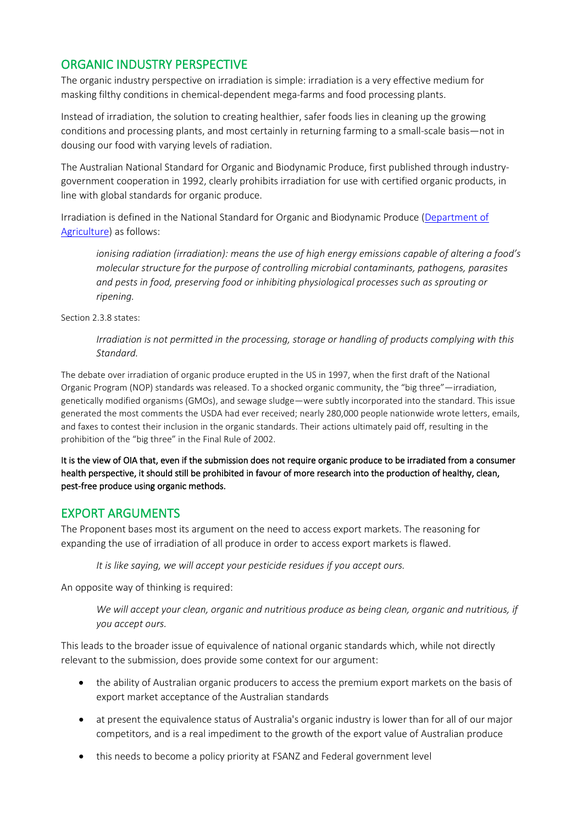# ORGANIC INDUSTRY PERSPECTIVE

The organic industry perspective on irradiation is simple: irradiation is a very effective medium for masking filthy conditions in chemical-dependent mega-farms and food processing plants.

Instead of irradiation, the solution to creating healthier, safer foods lies in cleaning up the growing conditions and processing plants, and most certainly in returning farming to a small-scale basis—not in dousing our food with varying levels of radiation.

The Australian National Standard for Organic and Biodynamic Produce, first published through industrygovernment cooperation in 1992, clearly prohibits irradiation for use with certified organic products, in line with global standards for organic produce.

Irradiation is defined in the National Standard for Organic and Biodynamic Produce [\(Department of](https://www.agriculture.gov.au/export/controlled-goods/organic-bio-dynamic/national-standard)  [Agriculture\)](https://www.agriculture.gov.au/export/controlled-goods/organic-bio-dynamic/national-standard) as follows:

*ionising radiation (irradiation): means the use of high energy emissions capable of altering a food's molecular structure for the purpose of controlling microbial contaminants, pathogens, parasites and pests in food, preserving food or inhibiting physiological processes such as sprouting or ripening.*

Section 2.3.8 states:

*Irradiation is not permitted in the processing, storage or handling of products complying with this Standard.*

The debate over irradiation of organic produce erupted in the US in 1997, when the first draft of the National Organic Program (NOP) standards was released. To a shocked organic community, the "big three"—irradiation, genetically modified organisms (GMOs), and sewage sludge—were subtly incorporated into the standard. This issue generated the most comments the USDA had ever received; nearly 280,000 people nationwide wrote letters, emails, and faxes to contest their inclusion in the organic standards. Their actions ultimately paid off, resulting in the prohibition of the "big three" in the Final Rule of 2002.

It is the view of OIA that, even if the submission does not require organic produce to be irradiated from a consumer health perspective, it should still be prohibited in favour of more research into the production of healthy, clean, pest-free produce using organic methods.

## EXPORT ARGUMENTS

The Proponent bases most its argument on the need to access export markets. The reasoning for expanding the use of irradiation of all produce in order to access export markets is flawed.

*It is like saying, we will accept your pesticide residues if you accept ours.* 

An opposite way of thinking is required:

*We will accept your clean, organic and nutritious produce as being clean, organic and nutritious, if you accept ours.* 

This leads to the broader issue of equivalence of national organic standards which, while not directly relevant to the submission, does provide some context for our argument:

- the ability of Australian organic producers to access the premium export markets on the basis of export market acceptance of the Australian standards
- at present the equivalence status of Australia's organic industry is lower than for all of our major competitors, and is a real impediment to the growth of the export value of Australian produce
- this needs to become a policy priority at FSANZ and Federal government level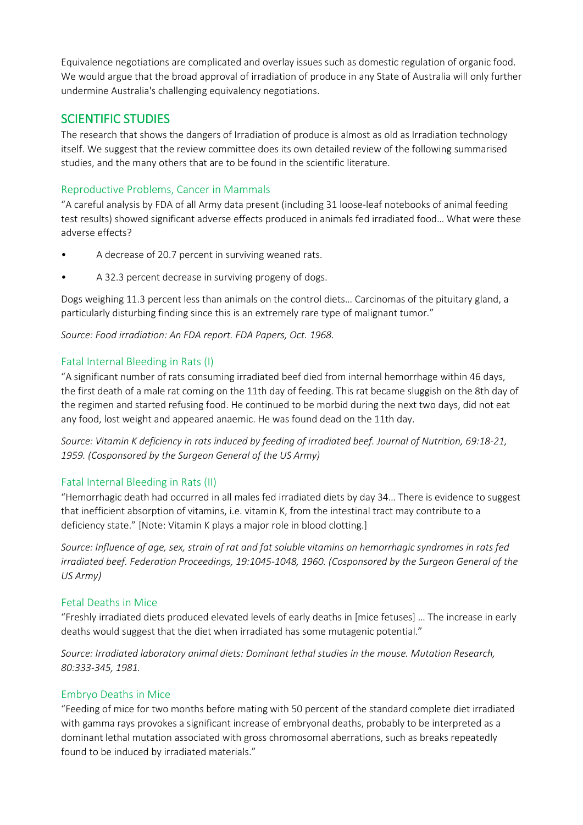Equivalence negotiations are complicated and overlay issues such as domestic regulation of organic food. We would argue that the broad approval of irradiation of produce in any State of Australia will only further undermine Australia's challenging equivalency negotiations.

## SCIENTIFIC STUDIES

The research that shows the dangers of Irradiation of produce is almost as old as Irradiation technology itself. We suggest that the review committee does its own detailed review of the following summarised studies, and the many others that are to be found in the scientific literature.

## Reproductive Problems, Cancer in Mammals

"A careful analysis by FDA of all Army data present (including 31 loose-leaf notebooks of animal feeding test results) showed significant adverse effects produced in animals fed irradiated food… What were these adverse effects?

- A decrease of 20.7 percent in surviving weaned rats.
- A 32.3 percent decrease in surviving progeny of dogs.

Dogs weighing 11.3 percent less than animals on the control diets… Carcinomas of the pituitary gland, a particularly disturbing finding since this is an extremely rare type of malignant tumor."

*Source: Food irradiation: An FDA report. FDA Papers, Oct. 1968.*

## Fatal Internal Bleeding in Rats (I)

"A significant number of rats consuming irradiated beef died from internal hemorrhage within 46 days, the first death of a male rat coming on the 11th day of feeding. This rat became sluggish on the 8th day of the regimen and started refusing food. He continued to be morbid during the next two days, did not eat any food, lost weight and appeared anaemic. He was found dead on the 11th day.

*Source: Vitamin K deficiency in rats induced by feeding of irradiated beef. Journal of Nutrition, 69:18-21, 1959. (Cosponsored by the Surgeon General of the US Army)*

## Fatal Internal Bleeding in Rats (II)

"Hemorrhagic death had occurred in all males fed irradiated diets by day 34… There is evidence to suggest that inefficient absorption of vitamins, i.e. vitamin K, from the intestinal tract may contribute to a deficiency state." [Note: Vitamin K plays a major role in blood clotting.]

*Source: Influence of age, sex, strain of rat and fat soluble vitamins on hemorrhagic syndromes in rats fed irradiated beef. Federation Proceedings, 19:1045-1048, 1960. (Cosponsored by the Surgeon General of the US Army)*

#### Fetal Deaths in Mice

"Freshly irradiated diets produced elevated levels of early deaths in [mice fetuses] … The increase in early deaths would suggest that the diet when irradiated has some mutagenic potential."

*Source: Irradiated laboratory animal diets: Dominant lethal studies in the mouse. Mutation Research, 80:333-345, 1981.*

## Embryo Deaths in Mice

"Feeding of mice for two months before mating with 50 percent of the standard complete diet irradiated with gamma rays provokes a significant increase of embryonal deaths, probably to be interpreted as a dominant lethal mutation associated with gross chromosomal aberrations, such as breaks repeatedly found to be induced by irradiated materials."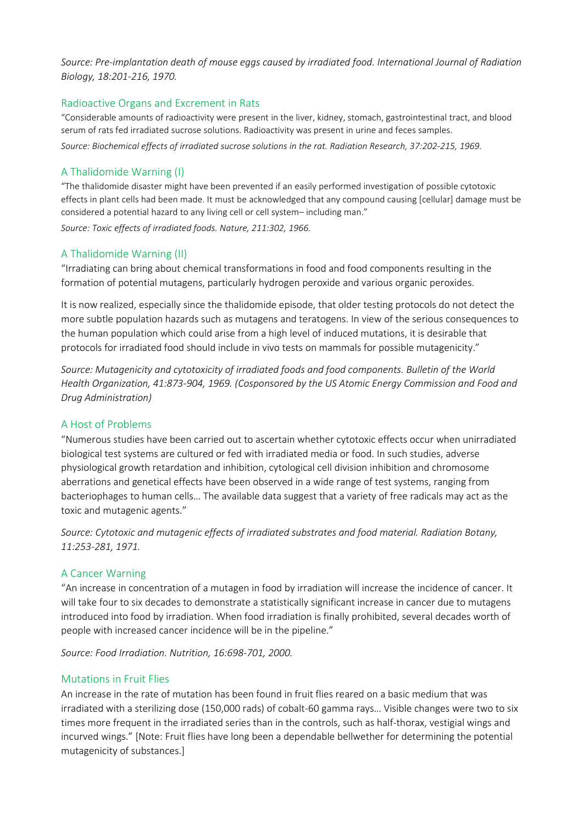*Source: Pre-implantation death of mouse eggs caused by irradiated food. International Journal of Radiation Biology, 18:201-216, 1970.*

#### Radioactive Organs and Excrement in Rats

"Considerable amounts of radioactivity were present in the liver, kidney, stomach, gastrointestinal tract, and blood serum of rats fed irradiated sucrose solutions. Radioactivity was present in urine and feces samples. *Source: Biochemical effects of irradiated sucrose solutions in the rat. Radiation Research, 37:202-215, 1969.*

#### A Thalidomide Warning (I)

"The thalidomide disaster might have been prevented if an easily performed investigation of possible cytotoxic effects in plant cells had been made. It must be acknowledged that any compound causing [cellular] damage must be considered a potential hazard to any living cell or cell system– including man."

*Source: Toxic effects of irradiated foods. Nature, 211:302, 1966.*

#### A Thalidomide Warning (II)

"Irradiating can bring about chemical transformations in food and food components resulting in the formation of potential mutagens, particularly hydrogen peroxide and various organic peroxides.

It is now realized, especially since the thalidomide episode, that older testing protocols do not detect the more subtle population hazards such as mutagens and teratogens. In view of the serious consequences to the human population which could arise from a high level of induced mutations, it is desirable that protocols for irradiated food should include in vivo tests on mammals for possible mutagenicity."

*Source: Mutagenicity and cytotoxicity of irradiated foods and food components. Bulletin of the World Health Organization, 41:873-904, 1969. (Cosponsored by the US Atomic Energy Commission and Food and Drug Administration)*

#### A Host of Problems

"Numerous studies have been carried out to ascertain whether cytotoxic effects occur when unirradiated biological test systems are cultured or fed with irradiated media or food. In such studies, adverse physiological growth retardation and inhibition, cytological cell division inhibition and chromosome aberrations and genetical effects have been observed in a wide range of test systems, ranging from bacteriophages to human cells… The available data suggest that a variety of free radicals may act as the toxic and mutagenic agents."

*Source: Cytotoxic and mutagenic effects of irradiated substrates and food material. Radiation Botany, 11:253-281, 1971.*

#### A Cancer Warning

"An increase in concentration of a mutagen in food by irradiation will increase the incidence of cancer. It will take four to six decades to demonstrate a statistically significant increase in cancer due to mutagens introduced into food by irradiation. When food irradiation is finally prohibited, several decades worth of people with increased cancer incidence will be in the pipeline."

*Source: Food Irradiation. Nutrition, 16:698-701, 2000.*

#### Mutations in Fruit Flies

An increase in the rate of mutation has been found in fruit flies reared on a basic medium that was irradiated with a sterilizing dose (150,000 rads) of cobalt-60 gamma rays… Visible changes were two to six times more frequent in the irradiated series than in the controls, such as half-thorax, vestigial wings and incurved wings." [Note: Fruit flies have long been a dependable bellwether for determining the potential mutagenicity of substances.]